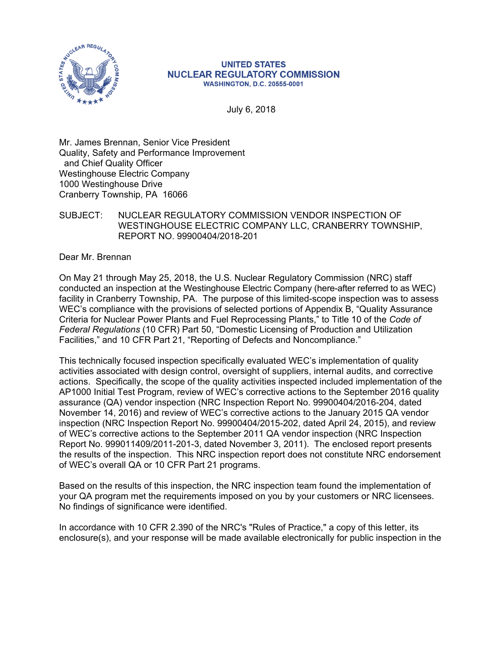

#### **UNITED STATES NUCLEAR REGULATORY COMMISSION WASHINGTON, D.C. 20555-0001**

July 6, 2018

Mr. James Brennan, Senior Vice President Quality, Safety and Performance Improvement and Chief Quality Officer Westinghouse Electric Company 1000 Westinghouse Drive Cranberry Township, PA 16066

## SUBJECT: NUCLEAR REGULATORY COMMISSION VENDOR INSPECTION OF WESTINGHOUSE ELECTRIC COMPANY LLC, CRANBERRY TOWNSHIP, REPORT NO. 99900404/2018-201

Dear Mr. Brennan

On May 21 through May 25, 2018, the U.S. Nuclear Regulatory Commission (NRC) staff conducted an inspection at the Westinghouse Electric Company (here-after referred to as WEC) facility in Cranberry Township, PA. The purpose of this limited-scope inspection was to assess WEC's compliance with the provisions of selected portions of Appendix B, "Quality Assurance Criteria for Nuclear Power Plants and Fuel Reprocessing Plants," to Title 10 of the *Code of Federal Regulations* (10 CFR) Part 50, "Domestic Licensing of Production and Utilization Facilities," and 10 CFR Part 21, "Reporting of Defects and Noncompliance."

This technically focused inspection specifically evaluated WEC's implementation of quality activities associated with design control, oversight of suppliers, internal audits, and corrective actions. Specifically, the scope of the quality activities inspected included implementation of the AP1000 Initial Test Program, review of WEC's corrective actions to the September 2016 quality assurance (QA) vendor inspection (NRC Inspection Report No. 99900404/2016-204, dated November 14, 2016) and review of WEC's corrective actions to the January 2015 QA vendor inspection (NRC Inspection Report No. 99900404/2015-202, dated April 24, 2015), and review of WEC's corrective actions to the September 2011 QA vendor inspection (NRC Inspection Report No. 999011409/2011-201-3, dated November 3, 2011). The enclosed report presents the results of the inspection. This NRC inspection report does not constitute NRC endorsement of WEC's overall QA or 10 CFR Part 21 programs.

Based on the results of this inspection, the NRC inspection team found the implementation of your QA program met the requirements imposed on you by your customers or NRC licensees. No findings of significance were identified.

In accordance with 10 CFR 2.390 of the NRC's "Rules of Practice," a copy of this letter, its enclosure(s), and your response will be made available electronically for public inspection in the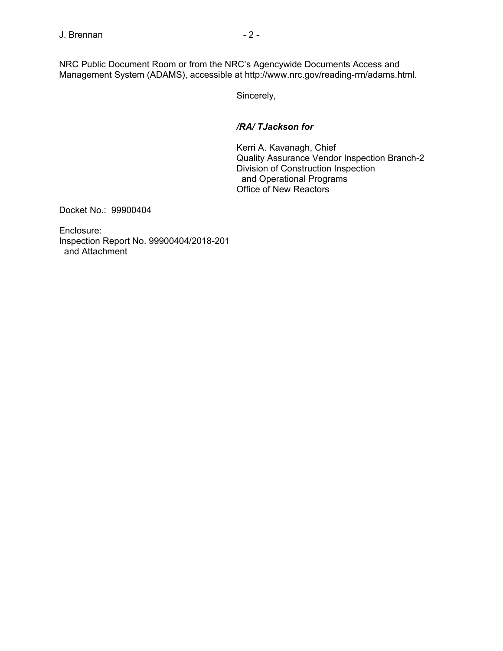NRC Public Document Room or from the NRC's Agencywide Documents Access and Management System (ADAMS), accessible at http://www.nrc.gov/reading-rm/adams.html.

Sincerely,

# */RA/ TJackson for*

Kerri A. Kavanagh, Chief Quality Assurance Vendor Inspection Branch-2 Division of Construction Inspection and Operational Programs Office of New Reactors

Docket No.: 99900404

Enclosure: Inspection Report No. 99900404/2018-201 and Attachment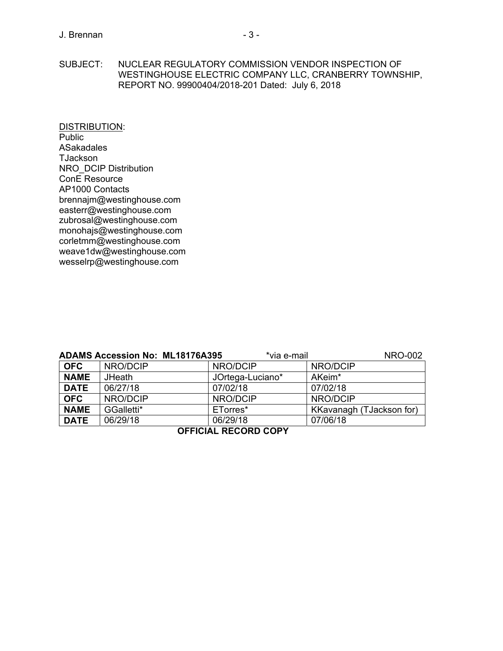SUBJECT: NUCLEAR REGULATORY COMMISSION VENDOR INSPECTION OF WESTINGHOUSE ELECTRIC COMPANY LLC, CRANBERRY TOWNSHIP, REPORT NO. 99900404/2018-201 Dated: July 6, 2018

DISTRIBUTION: Public ASakadales TJackson NRO\_DCIP Distribution ConE Resource AP1000 Contacts brennajm@westinghouse.com easterr@westinghouse.com zubrosal@westinghouse.com monohajs@westinghouse.com corletmm@westinghouse.com weave1dw@westinghouse.com wesselrp@westinghouse.com

| <b>ADAMS Accession No: ML18176A395</b> | <b>NRO-002</b><br>*via e-mail |                  |                          |  |  |
|----------------------------------------|-------------------------------|------------------|--------------------------|--|--|
| <b>OFC</b>                             | NRO/DCIP                      | NRO/DCIP         | NRO/DCIP                 |  |  |
| <b>NAME</b>                            | <b>JHeath</b>                 | JOrtega-Luciano* | AKeim <sup>*</sup>       |  |  |
| <b>DATE</b>                            | 06/27/18                      | 07/02/18         | 07/02/18                 |  |  |
| <b>OFC</b>                             | NRO/DCIP                      | NRO/DCIP         | NRO/DCIP                 |  |  |
| <b>NAME</b>                            | GGalletti*                    | ETorres*         | KKavanagh (TJackson for) |  |  |
| <b>DATE</b>                            | 06/29/18                      | 06/29/18         | 07/06/18                 |  |  |
| <b>OFFICIAL RECORD COPY</b>            |                               |                  |                          |  |  |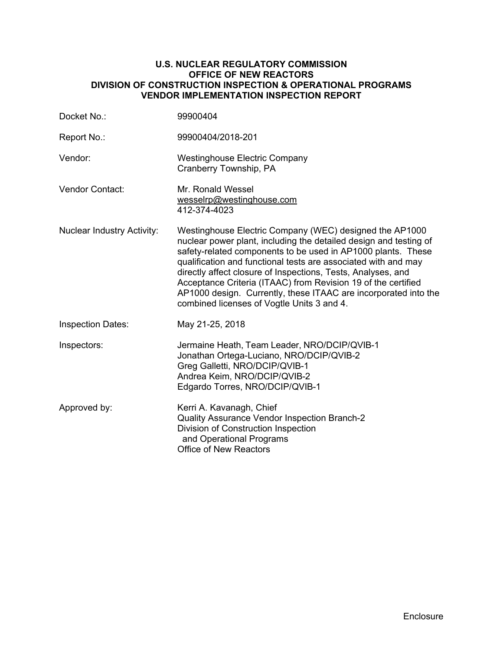#### **U.S. NUCLEAR REGULATORY COMMISSION OFFICE OF NEW REACTORS DIVISION OF CONSTRUCTION INSPECTION & OPERATIONAL PROGRAMS VENDOR IMPLEMENTATION INSPECTION REPORT**

| Docket No.:                       | 99900404                                                                                                                                                                                                                                                                                                                                                                                                                                                                                                         |
|-----------------------------------|------------------------------------------------------------------------------------------------------------------------------------------------------------------------------------------------------------------------------------------------------------------------------------------------------------------------------------------------------------------------------------------------------------------------------------------------------------------------------------------------------------------|
| Report No.:                       | 99900404/2018-201                                                                                                                                                                                                                                                                                                                                                                                                                                                                                                |
| Vendor:                           | <b>Westinghouse Electric Company</b><br>Cranberry Township, PA                                                                                                                                                                                                                                                                                                                                                                                                                                                   |
| <b>Vendor Contact:</b>            | Mr. Ronald Wessel<br>wesselrp@westinghouse.com<br>412-374-4023                                                                                                                                                                                                                                                                                                                                                                                                                                                   |
| <b>Nuclear Industry Activity:</b> | Westinghouse Electric Company (WEC) designed the AP1000<br>nuclear power plant, including the detailed design and testing of<br>safety-related components to be used in AP1000 plants. These<br>qualification and functional tests are associated with and may<br>directly affect closure of Inspections, Tests, Analyses, and<br>Acceptance Criteria (ITAAC) from Revision 19 of the certified<br>AP1000 design. Currently, these ITAAC are incorporated into the<br>combined licenses of Vogtle Units 3 and 4. |
| <b>Inspection Dates:</b>          | May 21-25, 2018                                                                                                                                                                                                                                                                                                                                                                                                                                                                                                  |
| Inspectors:                       | Jermaine Heath, Team Leader, NRO/DCIP/QVIB-1<br>Jonathan Ortega-Luciano, NRO/DCIP/QVIB-2<br>Greg Galletti, NRO/DCIP/QVIB-1<br>Andrea Keim, NRO/DCIP/QVIB-2<br>Edgardo Torres, NRO/DCIP/QVIB-1                                                                                                                                                                                                                                                                                                                    |
| Approved by:                      | Kerri A. Kavanagh, Chief<br>Quality Assurance Vendor Inspection Branch-2<br>Division of Construction Inspection<br>and Operational Programs<br><b>Office of New Reactors</b>                                                                                                                                                                                                                                                                                                                                     |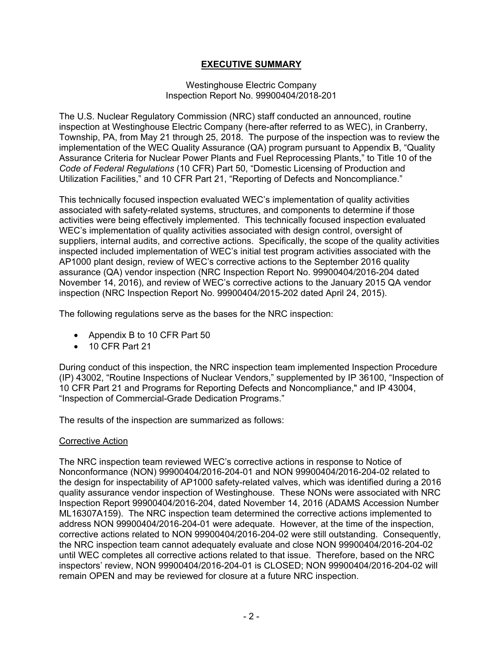# **EXECUTIVE SUMMARY**

#### Westinghouse Electric Company Inspection Report No. 99900404/2018-201

The U.S. Nuclear Regulatory Commission (NRC) staff conducted an announced, routine inspection at Westinghouse Electric Company (here-after referred to as WEC), in Cranberry, Township, PA, from May 21 through 25, 2018. The purpose of the inspection was to review the implementation of the WEC Quality Assurance (QA) program pursuant to Appendix B, "Quality Assurance Criteria for Nuclear Power Plants and Fuel Reprocessing Plants," to Title 10 of the *Code of Federal Regulations* (10 CFR) Part 50, "Domestic Licensing of Production and Utilization Facilities," and 10 CFR Part 21, "Reporting of Defects and Noncompliance."

This technically focused inspection evaluated WEC's implementation of quality activities associated with safety-related systems, structures, and components to determine if those activities were being effectively implemented. This technically focused inspection evaluated WEC's implementation of quality activities associated with design control, oversight of suppliers, internal audits, and corrective actions. Specifically, the scope of the quality activities inspected included implementation of WEC's initial test program activities associated with the AP1000 plant design, review of WEC's corrective actions to the September 2016 quality assurance (QA) vendor inspection (NRC Inspection Report No. 99900404/2016-204 dated November 14, 2016), and review of WEC's corrective actions to the January 2015 QA vendor inspection (NRC Inspection Report No. 99900404/2015-202 dated April 24, 2015).

The following regulations serve as the bases for the NRC inspection:

- Appendix B to 10 CFR Part 50
- 10 CFR Part 21

During conduct of this inspection, the NRC inspection team implemented Inspection Procedure (IP) 43002, "Routine Inspections of Nuclear Vendors," supplemented by IP 36100, "Inspection of 10 CFR Part 21 and Programs for Reporting Defects and Noncompliance," and IP 43004, "Inspection of Commercial-Grade Dedication Programs."

The results of the inspection are summarized as follows:

# Corrective Action

The NRC inspection team reviewed WEC's corrective actions in response to Notice of Nonconformance (NON) 99900404/2016-204-01 and NON 99900404/2016-204-02 related to the design for inspectability of AP1000 safety-related valves, which was identified during a 2016 quality assurance vendor inspection of Westinghouse. These NONs were associated with NRC Inspection Report 99900404/2016-204, dated November 14, 2016 (ADAMS Accession Number ML16307A159). The NRC inspection team determined the corrective actions implemented to address NON 99900404/2016-204-01 were adequate. However, at the time of the inspection, corrective actions related to NON 99900404/2016-204-02 were still outstanding. Consequently, the NRC inspection team cannot adequately evaluate and close NON 99900404/2016-204-02 until WEC completes all corrective actions related to that issue. Therefore, based on the NRC inspectors' review, NON 99900404/2016-204-01 is CLOSED; NON 99900404/2016-204-02 will remain OPEN and may be reviewed for closure at a future NRC inspection.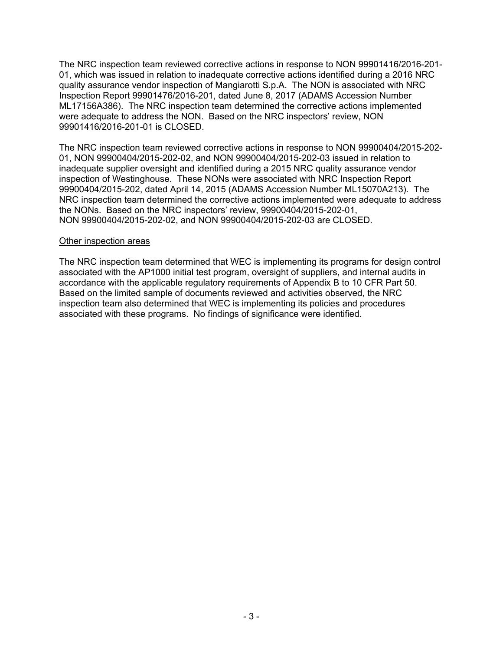The NRC inspection team reviewed corrective actions in response to NON 99901416/2016-201- 01, which was issued in relation to inadequate corrective actions identified during a 2016 NRC quality assurance vendor inspection of Mangiarotti S.p.A. The NON is associated with NRC Inspection Report 99901476/2016-201, dated June 8, 2017 (ADAMS Accession Number ML17156A386). The NRC inspection team determined the corrective actions implemented were adequate to address the NON. Based on the NRC inspectors' review, NON 99901416/2016-201-01 is CLOSED.

The NRC inspection team reviewed corrective actions in response to NON 99900404/2015-202- 01, NON 99900404/2015-202-02, and NON 99900404/2015-202-03 issued in relation to inadequate supplier oversight and identified during a 2015 NRC quality assurance vendor inspection of Westinghouse. These NONs were associated with NRC Inspection Report 99900404/2015-202, dated April 14, 2015 (ADAMS Accession Number ML15070A213). The NRC inspection team determined the corrective actions implemented were adequate to address the NONs. Based on the NRC inspectors' review, 99900404/2015-202-01, NON 99900404/2015-202-02, and NON 99900404/2015-202-03 are CLOSED.

# Other inspection areas

The NRC inspection team determined that WEC is implementing its programs for design control associated with the AP1000 initial test program, oversight of suppliers, and internal audits in accordance with the applicable regulatory requirements of Appendix B to 10 CFR Part 50. Based on the limited sample of documents reviewed and activities observed, the NRC inspection team also determined that WEC is implementing its policies and procedures associated with these programs. No findings of significance were identified.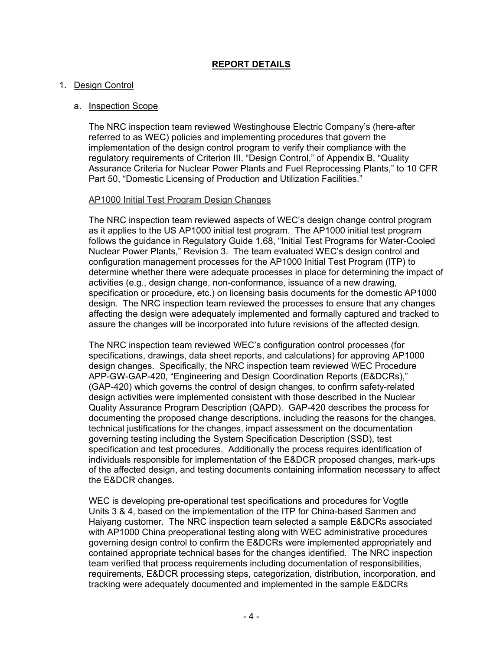# **REPORT DETAILS**

### 1. Design Control

### a. Inspection Scope

The NRC inspection team reviewed Westinghouse Electric Company's (here-after referred to as WEC) policies and implementing procedures that govern the implementation of the design control program to verify their compliance with the regulatory requirements of Criterion III, "Design Control," of Appendix B, "Quality Assurance Criteria for Nuclear Power Plants and Fuel Reprocessing Plants," to 10 CFR Part 50, "Domestic Licensing of Production and Utilization Facilities."

### AP1000 Initial Test Program Design Changes

The NRC inspection team reviewed aspects of WEC's design change control program as it applies to the US AP1000 initial test program. The AP1000 initial test program follows the guidance in Regulatory Guide 1.68, "Initial Test Programs for Water-Cooled Nuclear Power Plants," Revision 3. The team evaluated WEC's design control and configuration management processes for the AP1000 Initial Test Program (ITP) to determine whether there were adequate processes in place for determining the impact of activities (e.g., design change, non-conformance, issuance of a new drawing, specification or procedure, etc.) on licensing basis documents for the domestic AP1000 design. The NRC inspection team reviewed the processes to ensure that any changes affecting the design were adequately implemented and formally captured and tracked to assure the changes will be incorporated into future revisions of the affected design.

The NRC inspection team reviewed WEC's configuration control processes (for specifications, drawings, data sheet reports, and calculations) for approving AP1000 design changes. Specifically, the NRC inspection team reviewed WEC Procedure APP-GW-GAP-420, "Engineering and Design Coordination Reports (E&DCRs)," (GAP-420) which governs the control of design changes, to confirm safety-related design activities were implemented consistent with those described in the Nuclear Quality Assurance Program Description (QAPD). GAP-420 describes the process for documenting the proposed change descriptions, including the reasons for the changes, technical justifications for the changes, impact assessment on the documentation governing testing including the System Specification Description (SSD), test specification and test procedures. Additionally the process requires identification of individuals responsible for implementation of the E&DCR proposed changes, mark-ups of the affected design, and testing documents containing information necessary to affect the E&DCR changes.

WEC is developing pre-operational test specifications and procedures for Vogtle Units 3 & 4, based on the implementation of the ITP for China-based Sanmen and Haiyang customer. The NRC inspection team selected a sample E&DCRs associated with AP1000 China preoperational testing along with WEC administrative procedures governing design control to confirm the E&DCRs were implemented appropriately and contained appropriate technical bases for the changes identified. The NRC inspection team verified that process requirements including documentation of responsibilities, requirements, E&DCR processing steps, categorization, distribution, incorporation, and tracking were adequately documented and implemented in the sample E&DCRs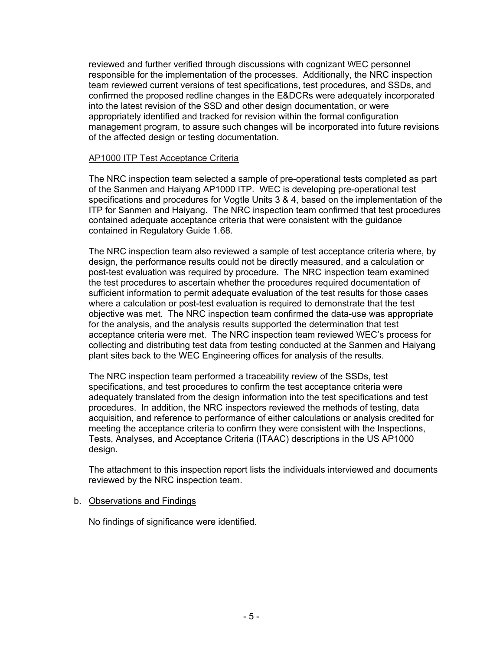reviewed and further verified through discussions with cognizant WEC personnel responsible for the implementation of the processes. Additionally, the NRC inspection team reviewed current versions of test specifications, test procedures, and SSDs, and confirmed the proposed redline changes in the E&DCRs were adequately incorporated into the latest revision of the SSD and other design documentation, or were appropriately identified and tracked for revision within the formal configuration management program, to assure such changes will be incorporated into future revisions of the affected design or testing documentation.

## AP1000 ITP Test Acceptance Criteria

The NRC inspection team selected a sample of pre-operational tests completed as part of the Sanmen and Haiyang AP1000 ITP. WEC is developing pre-operational test specifications and procedures for Vogtle Units 3 & 4, based on the implementation of the ITP for Sanmen and Haiyang. The NRC inspection team confirmed that test procedures contained adequate acceptance criteria that were consistent with the guidance contained in Regulatory Guide 1.68.

The NRC inspection team also reviewed a sample of test acceptance criteria where, by design, the performance results could not be directly measured, and a calculation or post-test evaluation was required by procedure. The NRC inspection team examined the test procedures to ascertain whether the procedures required documentation of sufficient information to permit adequate evaluation of the test results for those cases where a calculation or post-test evaluation is required to demonstrate that the test objective was met. The NRC inspection team confirmed the data-use was appropriate for the analysis, and the analysis results supported the determination that test acceptance criteria were met. The NRC inspection team reviewed WEC's process for collecting and distributing test data from testing conducted at the Sanmen and Haiyang plant sites back to the WEC Engineering offices for analysis of the results.

The NRC inspection team performed a traceability review of the SSDs, test specifications, and test procedures to confirm the test acceptance criteria were adequately translated from the design information into the test specifications and test procedures. In addition, the NRC inspectors reviewed the methods of testing, data acquisition, and reference to performance of either calculations or analysis credited for meeting the acceptance criteria to confirm they were consistent with the Inspections, Tests, Analyses, and Acceptance Criteria (ITAAC) descriptions in the US AP1000 design.

The attachment to this inspection report lists the individuals interviewed and documents reviewed by the NRC inspection team.

# b. Observations and Findings

No findings of significance were identified.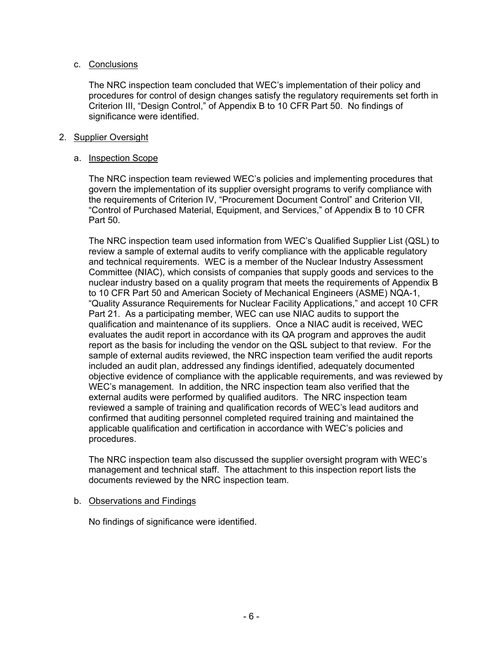# c. Conclusions

The NRC inspection team concluded that WEC's implementation of their policy and procedures for control of design changes satisfy the regulatory requirements set forth in Criterion III, "Design Control," of Appendix B to 10 CFR Part 50. No findings of significance were identified.

# 2. Supplier Oversight

## a. Inspection Scope

The NRC inspection team reviewed WEC's policies and implementing procedures that govern the implementation of its supplier oversight programs to verify compliance with the requirements of Criterion IV, "Procurement Document Control" and Criterion VII, "Control of Purchased Material, Equipment, and Services," of Appendix B to 10 CFR Part 50.

The NRC inspection team used information from WEC's Qualified Supplier List (QSL) to review a sample of external audits to verify compliance with the applicable regulatory and technical requirements. WEC is a member of the Nuclear Industry Assessment Committee (NIAC), which consists of companies that supply goods and services to the nuclear industry based on a quality program that meets the requirements of Appendix B to 10 CFR Part 50 and American Society of Mechanical Engineers (ASME) NQA-1, "Quality Assurance Requirements for Nuclear Facility Applications," and accept 10 CFR Part 21. As a participating member, WEC can use NIAC audits to support the qualification and maintenance of its suppliers. Once a NIAC audit is received, WEC evaluates the audit report in accordance with its QA program and approves the audit report as the basis for including the vendor on the QSL subject to that review. For the sample of external audits reviewed, the NRC inspection team verified the audit reports included an audit plan, addressed any findings identified, adequately documented objective evidence of compliance with the applicable requirements, and was reviewed by WEC's management. In addition, the NRC inspection team also verified that the external audits were performed by qualified auditors. The NRC inspection team reviewed a sample of training and qualification records of WEC's lead auditors and confirmed that auditing personnel completed required training and maintained the applicable qualification and certification in accordance with WEC's policies and procedures.

The NRC inspection team also discussed the supplier oversight program with WEC's management and technical staff. The attachment to this inspection report lists the documents reviewed by the NRC inspection team.

# b. Observations and Findings

No findings of significance were identified.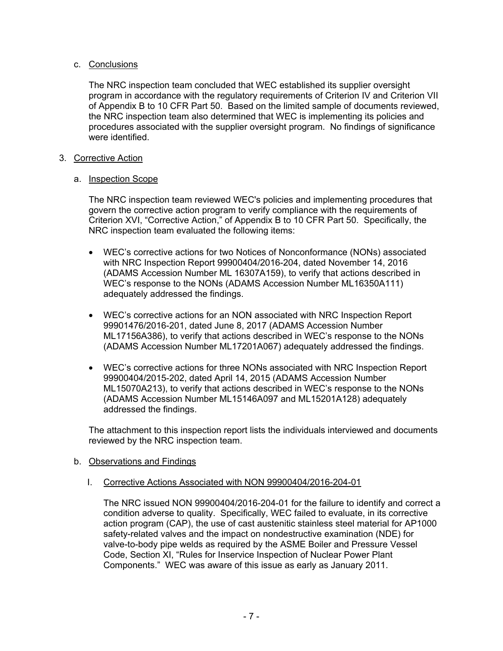# c. Conclusions

The NRC inspection team concluded that WEC established its supplier oversight program in accordance with the regulatory requirements of Criterion IV and Criterion VII of Appendix B to 10 CFR Part 50. Based on the limited sample of documents reviewed, the NRC inspection team also determined that WEC is implementing its policies and procedures associated with the supplier oversight program. No findings of significance were identified.

# 3. Corrective Action

# a. Inspection Scope

The NRC inspection team reviewed WEC's policies and implementing procedures that govern the corrective action program to verify compliance with the requirements of Criterion XVI, "Corrective Action," of Appendix B to 10 CFR Part 50. Specifically, the NRC inspection team evaluated the following items:

- WEC's corrective actions for two Notices of Nonconformance (NONs) associated with NRC Inspection Report 99900404/2016-204, dated November 14, 2016 (ADAMS Accession Number ML 16307A159), to verify that actions described in WEC's response to the NONs (ADAMS Accession Number ML16350A111) adequately addressed the findings.
- WEC's corrective actions for an NON associated with NRC Inspection Report 99901476/2016-201, dated June 8, 2017 (ADAMS Accession Number ML17156A386), to verify that actions described in WEC's response to the NONs (ADAMS Accession Number ML17201A067) adequately addressed the findings.
- WEC's corrective actions for three NONs associated with NRC Inspection Report 99900404/2015-202, dated April 14, 2015 (ADAMS Accession Number ML15070A213), to verify that actions described in WEC's response to the NONs (ADAMS Accession Number ML15146A097 and ML15201A128) adequately addressed the findings.

The attachment to this inspection report lists the individuals interviewed and documents reviewed by the NRC inspection team.

# b. Observations and Findings

# I. Corrective Actions Associated with NON 99900404/2016-204-01

The NRC issued NON 99900404/2016-204-01 for the failure to identify and correct a condition adverse to quality. Specifically, WEC failed to evaluate, in its corrective action program (CAP), the use of cast austenitic stainless steel material for AP1000 safety-related valves and the impact on nondestructive examination (NDE) for valve-to-body pipe welds as required by the ASME Boiler and Pressure Vessel Code, Section XI, "Rules for Inservice Inspection of Nuclear Power Plant Components." WEC was aware of this issue as early as January 2011.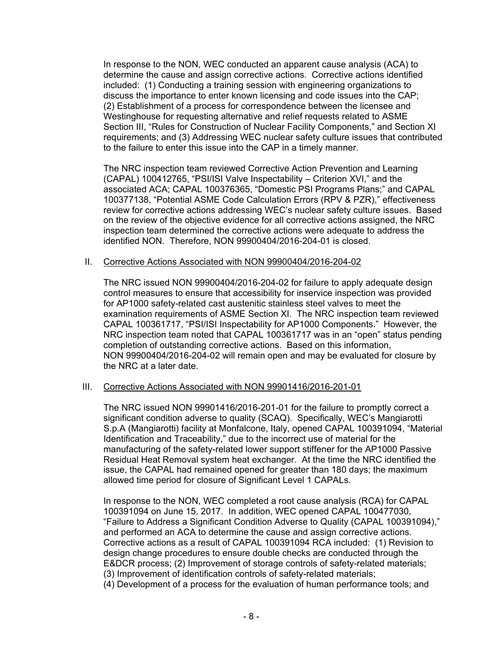In response to the NON, WEC conducted an apparent cause analysis (ACA) to determine the cause and assign corrective actions. Corrective actions identified included: (1) Conducting a training session with engineering organizations to discuss the importance to enter known licensing and code issues into the CAP; (2) Establishment of a process for correspondence between the licensee and Westinghouse for requesting alternative and relief requests related to ASME Section III, "Rules for Construction of Nuclear Facility Components," and Section XI requirements; and (3) Addressing WEC nuclear safety culture issues that contributed to the failure to enter this issue into the CAP in a timely manner.

The NRC inspection team reviewed Corrective Action Prevention and Learning (CAPAL) 100412765, "PSI/ISI Valve Inspectability – Criterion XVI," and the associated ACA; CAPAL 100376365, "Domestic PSI Programs Plans;" and CAPAL 100377138, "Potential ASME Code Calculation Errors (RPV & PZR)," effectiveness review for corrective actions addressing WEC's nuclear safety culture issues. Based on the review of the objective evidence for all corrective actions assigned, the NRC inspection team determined the corrective actions were adequate to address the identified NON. Therefore, NON 99900404/2016-204-01 is closed.

#### II. Corrective Actions Associated with NON 99900404/2016-204-02

The NRC issued NON 99900404/2016-204-02 for failure to apply adequate design control measures to ensure that accessibility for inservice inspection was provided for AP1000 safety-related cast austenitic stainless steel valves to meet the examination requirements of ASME Section XI. The NRC inspection team reviewed CAPAL 100361717, "PSI/ISI Inspectability for AP1000 Components." However, the NRC inspection team noted that CAPAL 100361717 was in an "open" status pending completion of outstanding corrective actions. Based on this information, NON 99900404/2016-204-02 will remain open and may be evaluated for closure by the NRC at a later date.

#### III. Corrective Actions Associated with NON 99901416/2016-201-01

The NRC issued NON 99901416/2016-201-01 for the failure to promptly correct a significant condition adverse to quality (SCAQ). Specifically, WEC's Mangiarotti S.p.A (Mangiarotti) facility at Monfalcone, Italy, opened CAPAL 100391094, "Material Identification and Traceability," due to the incorrect use of material for the manufacturing of the safety-related lower support stiffener for the AP1000 Passive Residual Heat Removal system heat exchanger. At the time the NRC identified the issue, the CAPAL had remained opened for greater than 180 days; the maximum allowed time period for closure of Significant Level 1 CAPALs.

In response to the NON, WEC completed a root cause analysis (RCA) for CAPAL 100391094 on June 15, 2017. In addition, WEC opened CAPAL 100477030, "Failure to Address a Significant Condition Adverse to Quality (CAPAL 100391094)," and performed an ACA to determine the cause and assign corrective actions. Corrective actions as a result of CAPAL 100391094 RCA included: (1) Revision to design change procedures to ensure double checks are conducted through the E&DCR process; (2) Improvement of storage controls of safety-related materials; (3) Improvement of identification controls of safety-related materials;

(4) Development of a process for the evaluation of human performance tools; and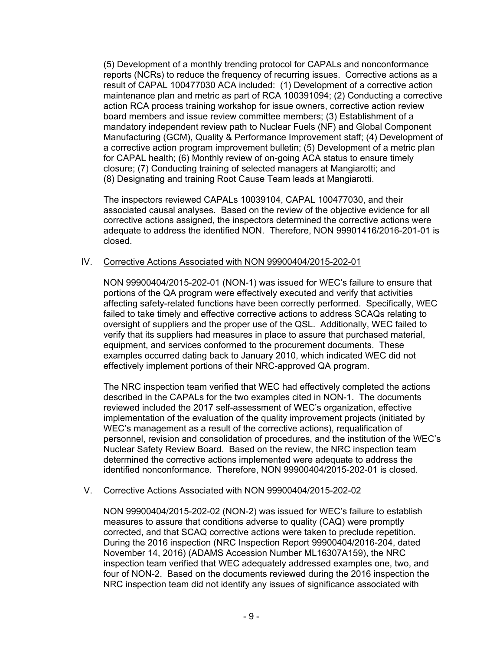(5) Development of a monthly trending protocol for CAPALs and nonconformance reports (NCRs) to reduce the frequency of recurring issues. Corrective actions as a result of CAPAL 100477030 ACA included: (1) Development of a corrective action maintenance plan and metric as part of RCA 100391094; (2) Conducting a corrective action RCA process training workshop for issue owners, corrective action review board members and issue review committee members; (3) Establishment of a mandatory independent review path to Nuclear Fuels (NF) and Global Component Manufacturing (GCM), Quality & Performance Improvement staff; (4) Development of a corrective action program improvement bulletin; (5) Development of a metric plan for CAPAL health; (6) Monthly review of on-going ACA status to ensure timely closure; (7) Conducting training of selected managers at Mangiarotti; and (8) Designating and training Root Cause Team leads at Mangiarotti.

The inspectors reviewed CAPALs 10039104, CAPAL 100477030, and their associated causal analyses. Based on the review of the objective evidence for all corrective actions assigned, the inspectors determined the corrective actions were adequate to address the identified NON. Therefore, NON 99901416/2016-201-01 is closed.

# IV. Corrective Actions Associated with NON 99900404/2015-202-01

NON 99900404/2015-202-01 (NON-1) was issued for WEC's failure to ensure that portions of the QA program were effectively executed and verify that activities affecting safety-related functions have been correctly performed. Specifically, WEC failed to take timely and effective corrective actions to address SCAQs relating to oversight of suppliers and the proper use of the QSL. Additionally, WEC failed to verify that its suppliers had measures in place to assure that purchased material, equipment, and services conformed to the procurement documents. These examples occurred dating back to January 2010, which indicated WEC did not effectively implement portions of their NRC-approved QA program.

The NRC inspection team verified that WEC had effectively completed the actions described in the CAPALs for the two examples cited in NON-1. The documents reviewed included the 2017 self-assessment of WEC's organization, effective implementation of the evaluation of the quality improvement projects (initiated by WEC's management as a result of the corrective actions), requalification of personnel, revision and consolidation of procedures, and the institution of the WEC's Nuclear Safety Review Board. Based on the review, the NRC inspection team determined the corrective actions implemented were adequate to address the identified nonconformance. Therefore, NON 99900404/2015-202-01 is closed.

#### V. Corrective Actions Associated with NON 99900404/2015-202-02

NON 99900404/2015-202-02 (NON-2) was issued for WEC's failure to establish measures to assure that conditions adverse to quality (CAQ) were promptly corrected, and that SCAQ corrective actions were taken to preclude repetition. During the 2016 inspection (NRC Inspection Report 99900404/2016-204, dated November 14, 2016) (ADAMS Accession Number ML16307A159), the NRC inspection team verified that WEC adequately addressed examples one, two, and four of NON-2. Based on the documents reviewed during the 2016 inspection the NRC inspection team did not identify any issues of significance associated with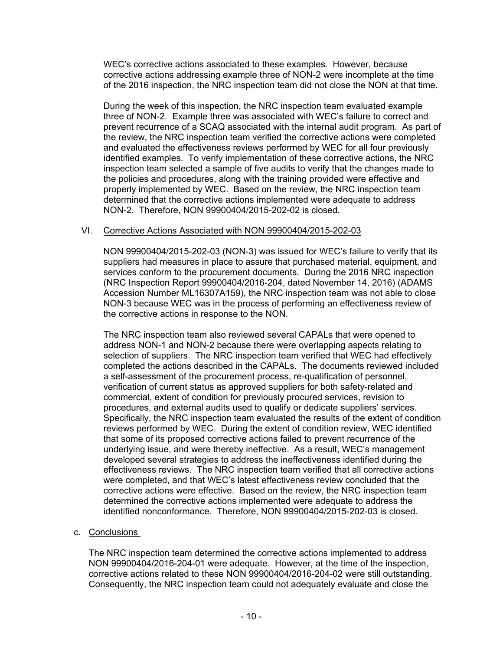WEC's corrective actions associated to these examples. However, because corrective actions addressing example three of NON-2 were incomplete at the time of the 2016 inspection, the NRC inspection team did not close the NON at that time.

During the week of this inspection, the NRC inspection team evaluated example three of NON-2. Example three was associated with WEC's failure to correct and prevent recurrence of a SCAQ associated with the internal audit program. As part of the review, the NRC inspection team verified the corrective actions were completed and evaluated the effectiveness reviews performed by WEC for all four previously identified examples. To verify implementation of these corrective actions, the NRC inspection team selected a sample of five audits to verify that the changes made to the policies and procedures, along with the training provided were effective and properly implemented by WEC. Based on the review, the NRC inspection team determined that the corrective actions implemented were adequate to address NON-2. Therefore, NON 99900404/2015-202-02 is closed.

# VI. Corrective Actions Associated with NON 99900404/2015-202-03

NON 99900404/2015-202-03 (NON-3) was issued for WEC's failure to verify that its suppliers had measures in place to assure that purchased material, equipment, and services conform to the procurement documents. During the 2016 NRC inspection (NRC Inspection Report 99900404/2016-204, dated November 14, 2016) (ADAMS Accession Number ML16307A159), the NRC inspection team was not able to close NON-3 because WEC was in the process of performing an effectiveness review of the corrective actions in response to the NON.

The NRC inspection team also reviewed several CAPALs that were opened to address NON-1 and NON-2 because there were overlapping aspects relating to selection of suppliers. The NRC inspection team verified that WEC had effectively completed the actions described in the CAPALs. The documents reviewed included a self-assessment of the procurement process, re-qualification of personnel, verification of current status as approved suppliers for both safety-related and commercial, extent of condition for previously procured services, revision to procedures, and external audits used to qualify or dedicate suppliers' services. Specifically, the NRC inspection team evaluated the results of the extent of condition reviews performed by WEC. During the extent of condition review, WEC identified that some of its proposed corrective actions failed to prevent recurrence of the underlying issue, and were thereby ineffective. As a result, WEC's management developed several strategies to address the ineffectiveness identified during the effectiveness reviews. The NRC inspection team verified that all corrective actions were completed, and that WEC's latest effectiveness review concluded that the corrective actions were effective. Based on the review, the NRC inspection team determined the corrective actions implemented were adequate to address the identified nonconformance. Therefore, NON 99900404/2015-202-03 is closed.

# c. Conclusions

The NRC inspection team determined the corrective actions implemented to address NON 99900404/2016-204-01 were adequate. However, at the time of the inspection, corrective actions related to these NON 99900404/2016-204-02 were still outstanding. Consequently, the NRC inspection team could not adequately evaluate and close the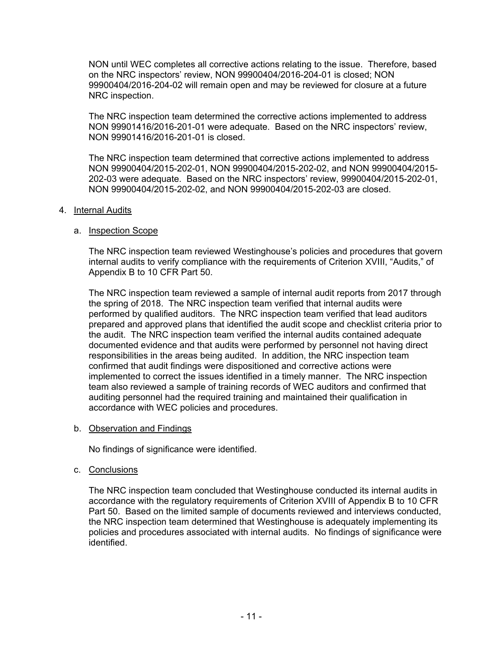NON until WEC completes all corrective actions relating to the issue. Therefore, based on the NRC inspectors' review, NON 99900404/2016-204-01 is closed; NON 99900404/2016-204-02 will remain open and may be reviewed for closure at a future NRC inspection.

The NRC inspection team determined the corrective actions implemented to address NON 99901416/2016-201-01 were adequate. Based on the NRC inspectors' review, NON 99901416/2016-201-01 is closed.

The NRC inspection team determined that corrective actions implemented to address NON 99900404/2015-202-01, NON 99900404/2015-202-02, and NON 99900404/2015- 202-03 were adequate. Based on the NRC inspectors' review, 99900404/2015-202-01, NON 99900404/2015-202-02, and NON 99900404/2015-202-03 are closed.

#### 4. Internal Audits

### a. Inspection Scope

The NRC inspection team reviewed Westinghouse's policies and procedures that govern internal audits to verify compliance with the requirements of Criterion XVIII, "Audits," of Appendix B to 10 CFR Part 50.

The NRC inspection team reviewed a sample of internal audit reports from 2017 through the spring of 2018. The NRC inspection team verified that internal audits were performed by qualified auditors. The NRC inspection team verified that lead auditors prepared and approved plans that identified the audit scope and checklist criteria prior to the audit. The NRC inspection team verified the internal audits contained adequate documented evidence and that audits were performed by personnel not having direct responsibilities in the areas being audited. In addition, the NRC inspection team confirmed that audit findings were dispositioned and corrective actions were implemented to correct the issues identified in a timely manner. The NRC inspection team also reviewed a sample of training records of WEC auditors and confirmed that auditing personnel had the required training and maintained their qualification in accordance with WEC policies and procedures.

#### b. Observation and Findings

No findings of significance were identified.

#### c. Conclusions

The NRC inspection team concluded that Westinghouse conducted its internal audits in accordance with the regulatory requirements of Criterion XVIII of Appendix B to 10 CFR Part 50. Based on the limited sample of documents reviewed and interviews conducted, the NRC inspection team determined that Westinghouse is adequately implementing its policies and procedures associated with internal audits. No findings of significance were identified.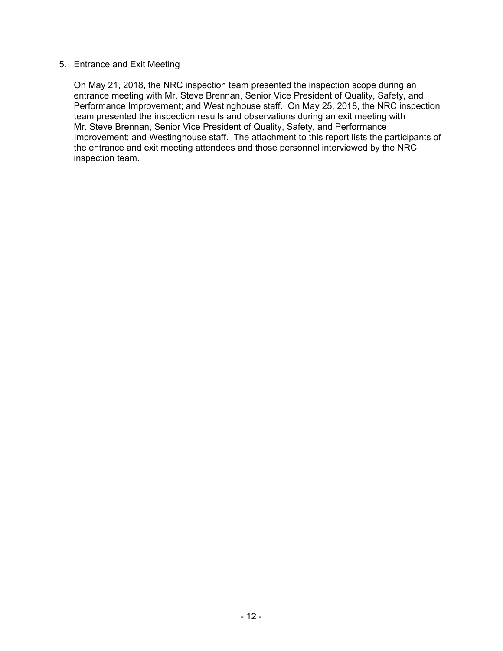## 5. Entrance and Exit Meeting

On May 21, 2018, the NRC inspection team presented the inspection scope during an entrance meeting with Mr. Steve Brennan, Senior Vice President of Quality, Safety, and Performance Improvement; and Westinghouse staff. On May 25, 2018, the NRC inspection team presented the inspection results and observations during an exit meeting with Mr. Steve Brennan, Senior Vice President of Quality, Safety, and Performance Improvement; and Westinghouse staff. The attachment to this report lists the participants of the entrance and exit meeting attendees and those personnel interviewed by the NRC inspection team.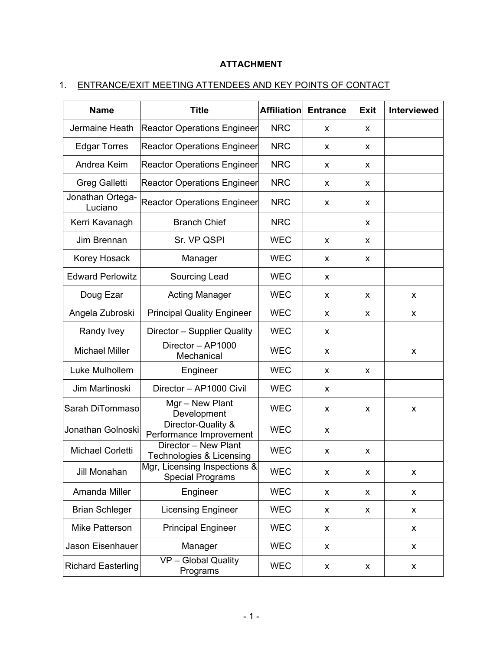# **ATTACHMENT**

# 1. ENTRANCE/EXIT MEETING ATTENDEES AND KEY POINTS OF CONTACT

| <b>Name</b>                 | <b>Title</b>                                            | <b>Affiliation</b> | <b>Entrance</b> | <b>Exit</b> | <b>Interviewed</b> |
|-----------------------------|---------------------------------------------------------|--------------------|-----------------|-------------|--------------------|
| Jermaine Heath              | <b>Reactor Operations Engineer</b>                      | <b>NRC</b>         | X               | X           |                    |
| <b>Edgar Torres</b>         | <b>Reactor Operations Engineer</b>                      | <b>NRC</b>         | X               | X           |                    |
| Andrea Keim                 | <b>Reactor Operations Engineer</b>                      | <b>NRC</b>         | X               | X           |                    |
| Greg Galletti               | <b>Reactor Operations Engineer</b>                      | <b>NRC</b>         | X               | x           |                    |
| Jonathan Ortega-<br>Luciano | <b>Reactor Operations Engineer</b>                      | <b>NRC</b>         | X               | X           |                    |
| Kerri Kavanagh              | <b>Branch Chief</b>                                     | <b>NRC</b>         |                 | X           |                    |
| Jim Brennan                 | Sr. VP QSPI                                             | <b>WEC</b>         | X               | X           |                    |
| Korey Hosack                | Manager                                                 | <b>WEC</b>         | X               | X           |                    |
| <b>Edward Perlowitz</b>     | Sourcing Lead                                           | <b>WEC</b>         | X               |             |                    |
| Doug Ezar                   | <b>Acting Manager</b>                                   | <b>WEC</b>         | X               | X           | X                  |
| Angela Zubroski             | <b>Principal Quality Engineer</b>                       | <b>WEC</b>         | X               | X           | X                  |
| Randy Ivey                  | Director - Supplier Quality                             | <b>WEC</b>         | X               |             |                    |
| <b>Michael Miller</b>       | Director - AP1000<br>Mechanical                         | <b>WEC</b>         | X               |             | X                  |
| Luke Mulhollem              | Engineer                                                | <b>WEC</b>         | X               | x           |                    |
| Jim Martinoski              | Director - AP1000 Civil                                 | <b>WEC</b>         | X               |             |                    |
| Sarah DiTommaso             | Mgr - New Plant<br>Development                          | <b>WEC</b>         | x               | X           | X                  |
| Jonathan Golnoski           | Director-Quality &<br>Performance Improvement           | <b>WEC</b>         | X               |             |                    |
| Michael Corletti            | Director - New Plant<br>Technologies & Licensing        | <b>WEC</b>         | X               | X           |                    |
| Jill Monahan                | Mgr, Licensing Inspections &<br><b>Special Programs</b> | <b>WEC</b>         | X               | X           | X                  |
| Amanda Miller               | Engineer                                                | <b>WEC</b>         | X               | X           | X                  |
| <b>Brian Schleger</b>       | <b>Licensing Engineer</b>                               | <b>WEC</b>         | X               | X           | X                  |
| <b>Mike Patterson</b>       | <b>Principal Engineer</b>                               | <b>WEC</b>         | X               |             | X                  |
| Jason Eisenhauer            | Manager                                                 | <b>WEC</b>         | X               |             | X                  |
| <b>Richard Easterling</b>   | VP - Global Quality<br>Programs                         | <b>WEC</b>         | X               | X           | X                  |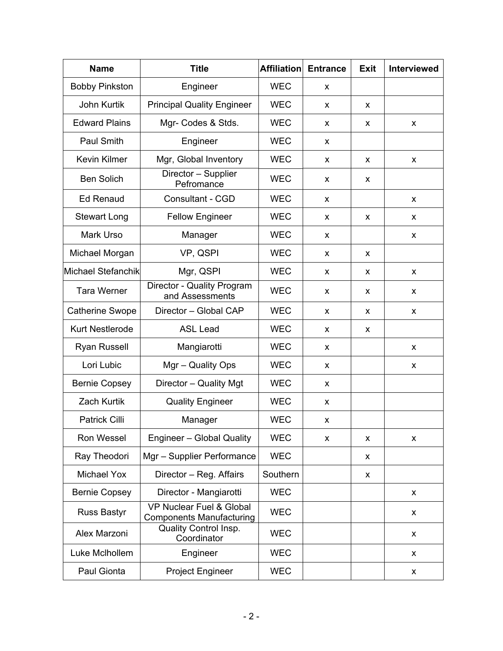| <b>Name</b>            | <b>Title</b>                                                           | <b>Affiliation</b> | <b>Entrance</b> | <b>Exit</b> | <b>Interviewed</b> |
|------------------------|------------------------------------------------------------------------|--------------------|-----------------|-------------|--------------------|
| <b>Bobby Pinkston</b>  | Engineer                                                               | <b>WEC</b>         | X               |             |                    |
| John Kurtik            | <b>Principal Quality Engineer</b>                                      | <b>WEC</b>         | X               | X           |                    |
| <b>Edward Plains</b>   | Mgr- Codes & Stds.                                                     | <b>WEC</b>         | X               | X           | X                  |
| <b>Paul Smith</b>      | Engineer                                                               | <b>WEC</b>         | x               |             |                    |
| <b>Kevin Kilmer</b>    | Mgr, Global Inventory                                                  | <b>WEC</b>         | X               | x           | X                  |
| <b>Ben Solich</b>      | Director - Supplier<br>Pefromance                                      | <b>WEC</b>         | x               | x           |                    |
| <b>Ed Renaud</b>       | <b>Consultant - CGD</b>                                                | <b>WEC</b>         | X               |             | x                  |
| <b>Stewart Long</b>    | <b>Fellow Engineer</b>                                                 | <b>WEC</b>         | X               | X           | X.                 |
| Mark Urso              | Manager                                                                | <b>WEC</b>         | X               |             | X                  |
| Michael Morgan         | VP, QSPI                                                               | <b>WEC</b>         | X               | x           |                    |
| Michael Stefanchik     | Mgr, QSPI                                                              | <b>WEC</b>         | X               | x           | X                  |
| <b>Tara Werner</b>     | Director - Quality Program<br>and Assessments                          | <b>WEC</b>         | X               | X           | X                  |
| <b>Catherine Swope</b> | Director - Global CAP                                                  | <b>WEC</b>         | X               | x           | X                  |
| <b>Kurt Nestlerode</b> | <b>ASL Lead</b>                                                        | <b>WEC</b>         | X               | X           |                    |
| <b>Ryan Russell</b>    | Mangiarotti                                                            | <b>WEC</b>         | X               |             | x                  |
| Lori Lubic             | Mgr - Quality Ops                                                      | <b>WEC</b>         | x               |             | X                  |
| <b>Bernie Copsey</b>   | Director - Quality Mgt                                                 | <b>WEC</b>         | X               |             |                    |
| <b>Zach Kurtik</b>     | <b>Quality Engineer</b>                                                | <b>WEC</b>         | X               |             |                    |
| <b>Patrick Cilli</b>   | Manager                                                                | <b>WEC</b>         | x               |             |                    |
| <b>Ron Wessel</b>      | Engineer - Global Quality                                              | <b>WEC</b>         | X               | x           | X                  |
| Ray Theodori           | Mgr - Supplier Performance                                             | <b>WEC</b>         |                 | X           |                    |
| <b>Michael Yox</b>     | Director - Reg. Affairs                                                | Southern           |                 | x           |                    |
| <b>Bernie Copsey</b>   | Director - Mangiarotti                                                 | <b>WEC</b>         |                 |             | X                  |
| <b>Russ Bastyr</b>     | <b>VP Nuclear Fuel &amp; Global</b><br><b>Components Manufacturing</b> | <b>WEC</b>         |                 |             | x                  |
| Alex Marzoni           | <b>Quality Control Insp.</b><br>Coordinator                            | <b>WEC</b>         |                 |             | X                  |
| Luke McIhollem         | Engineer                                                               | <b>WEC</b>         |                 |             | x                  |
| Paul Gionta            | <b>Project Engineer</b>                                                | <b>WEC</b>         |                 |             | X                  |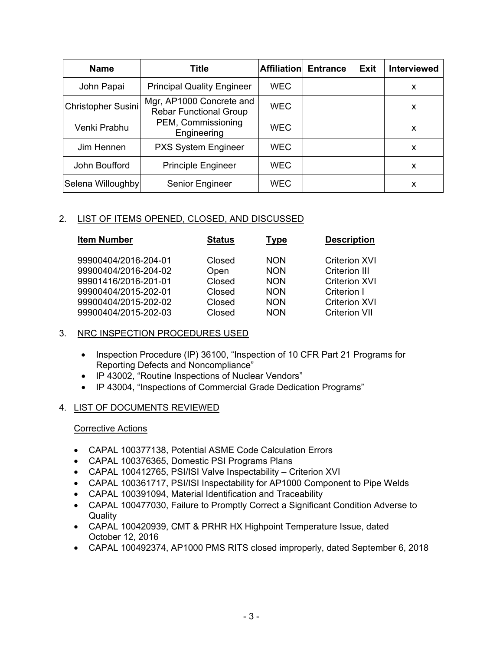| <b>Name</b>        | <b>Title</b>                                              | <b>Affiliation</b> | <b>Entrance</b> | <b>Exit</b> | <b>Interviewed</b> |
|--------------------|-----------------------------------------------------------|--------------------|-----------------|-------------|--------------------|
| John Papai         | <b>Principal Quality Engineer</b>                         | <b>WEC</b>         |                 |             | X                  |
| Christopher Susini | Mgr, AP1000 Concrete and<br><b>Rebar Functional Group</b> | <b>WEC</b>         |                 |             | x                  |
| Venki Prabhu       | PEM, Commissioning<br>Engineering                         | <b>WEC</b>         |                 |             | x                  |
| Jim Hennen         | PXS System Engineer                                       | WEC                |                 |             | X                  |
| John Boufford      | <b>Principle Engineer</b>                                 | <b>WEC</b>         |                 |             | X                  |
| Selena Willoughby  | Senior Engineer                                           | <b>WEC</b>         |                 |             | х                  |

# 2. LIST OF ITEMS OPENED, CLOSED, AND DISCUSSED

| <b>Item Number</b>                                                                                                                           | <b>Status</b>                                          | <u>Type</u>                                                                      | <b>Description</b>                                                                                                                  |
|----------------------------------------------------------------------------------------------------------------------------------------------|--------------------------------------------------------|----------------------------------------------------------------------------------|-------------------------------------------------------------------------------------------------------------------------------------|
| 99900404/2016-204-01<br>99900404/2016-204-02<br>99901416/2016-201-01<br>99900404/2015-202-01<br>99900404/2015-202-02<br>99900404/2015-202-03 | Closed<br>Open<br>Closed<br>Closed<br>Closed<br>Closed | <b>NON</b><br><b>NON</b><br><b>NON</b><br><b>NON</b><br><b>NON</b><br><b>NON</b> | <b>Criterion XVI</b><br><b>Criterion III</b><br><b>Criterion XVI</b><br>Criterion I<br><b>Criterion XVI</b><br><b>Criterion VII</b> |
|                                                                                                                                              |                                                        |                                                                                  |                                                                                                                                     |

# 3. NRC INSPECTION PROCEDURES USED

- Inspection Procedure (IP) 36100, "Inspection of 10 CFR Part 21 Programs for Reporting Defects and Noncompliance"
- IP 43002, "Routine Inspections of Nuclear Vendors"
- IP 43004, "Inspections of Commercial Grade Dedication Programs"

# 4. LIST OF DOCUMENTS REVIEWED

# Corrective Actions

- CAPAL 100377138, Potential ASME Code Calculation Errors
- CAPAL 100376365, Domestic PSI Programs Plans
- CAPAL 100412765, PSI/ISI Valve Inspectability Criterion XVI
- CAPAL 100361717, PSI/ISI Inspectability for AP1000 Component to Pipe Welds
- CAPAL 100391094, Material Identification and Traceability
- CAPAL 100477030, Failure to Promptly Correct a Significant Condition Adverse to **Quality**
- CAPAL 100420939, CMT & PRHR HX Highpoint Temperature Issue, dated October 12, 2016
- CAPAL 100492374, AP1000 PMS RITS closed improperly, dated September 6, 2018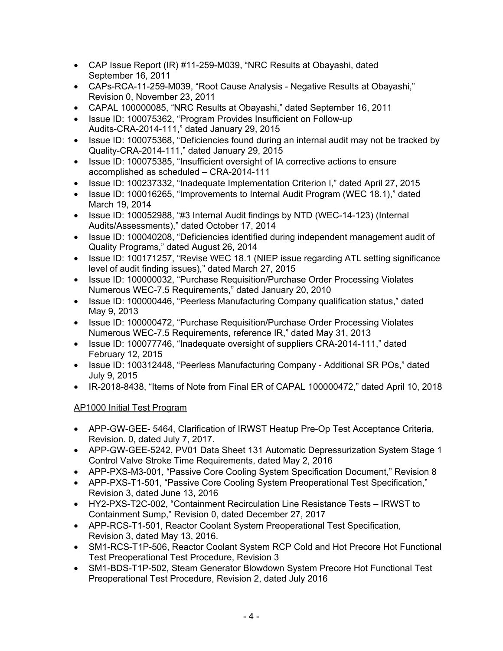- CAP Issue Report (IR) #11-259-M039, "NRC Results at Obayashi, dated September 16, 2011
- CAPs-RCA-11-259-M039, "Root Cause Analysis Negative Results at Obayashi," Revision 0, November 23, 2011
- CAPAL 100000085, "NRC Results at Obayashi," dated September 16, 2011
- Issue ID: 100075362, "Program Provides Insufficient on Follow-up Audits-CRA-2014-111," dated January 29, 2015
- Issue ID: 100075368, "Deficiencies found during an internal audit may not be tracked by Quality-CRA-2014-111," dated January 29, 2015
- Issue ID: 100075385, "Insufficient oversight of IA corrective actions to ensure accomplished as scheduled – CRA-2014-111
- Issue ID: 100237332, "Inadequate Implementation Criterion I," dated April 27, 2015
- Issue ID: 100016265, "Improvements to Internal Audit Program (WEC 18.1)," dated March 19, 2014
- Issue ID: 100052988, "#3 Internal Audit findings by NTD (WEC-14-123) (Internal Audits/Assessments)," dated October 17, 2014
- Issue ID: 100040208, "Deficiencies identified during independent management audit of Quality Programs," dated August 26, 2014
- Issue ID: 100171257, "Revise WEC 18.1 (NIEP issue regarding ATL setting significance level of audit finding issues)," dated March 27, 2015
- Issue ID: 100000032, "Purchase Requisition/Purchase Order Processing Violates Numerous WEC-7.5 Requirements," dated January 20, 2010
- Issue ID: 100000446, "Peerless Manufacturing Company qualification status," dated May 9, 2013
- Issue ID: 100000472, "Purchase Requisition/Purchase Order Processing Violates Numerous WEC-7.5 Requirements, reference IR," dated May 31, 2013
- Issue ID: 100077746, "Inadequate oversight of suppliers CRA-2014-111," dated February 12, 2015
- Issue ID: 100312448, "Peerless Manufacturing Company Additional SR POs," dated July 9, 2015
- IR-2018-8438, "Items of Note from Final ER of CAPAL 100000472," dated April 10, 2018

# AP1000 Initial Test Program

- APP-GW-GEE- 5464, Clarification of IRWST Heatup Pre-Op Test Acceptance Criteria, Revision. 0, dated July 7, 2017.
- APP-GW-GEE-5242, PV01 Data Sheet 131 Automatic Depressurization System Stage 1 Control Valve Stroke Time Requirements, dated May 2, 2016
- APP-PXS-M3-001, "Passive Core Cooling System Specification Document," Revision 8
- APP-PXS-T1-501, "Passive Core Cooling System Preoperational Test Specification," Revision 3, dated June 13, 2016
- HY2-PXS-T2C-002, "Containment Recirculation Line Resistance Tests IRWST to Containment Sump," Revision 0, dated December 27, 2017
- APP-RCS-T1-501, Reactor Coolant System Preoperational Test Specification, Revision 3, dated May 13, 2016.
- SM1-RCS-T1P-506, Reactor Coolant System RCP Cold and Hot Precore Hot Functional Test Preoperational Test Procedure, Revision 3
- SM1-BDS-T1P-502, Steam Generator Blowdown System Precore Hot Functional Test Preoperational Test Procedure, Revision 2, dated July 2016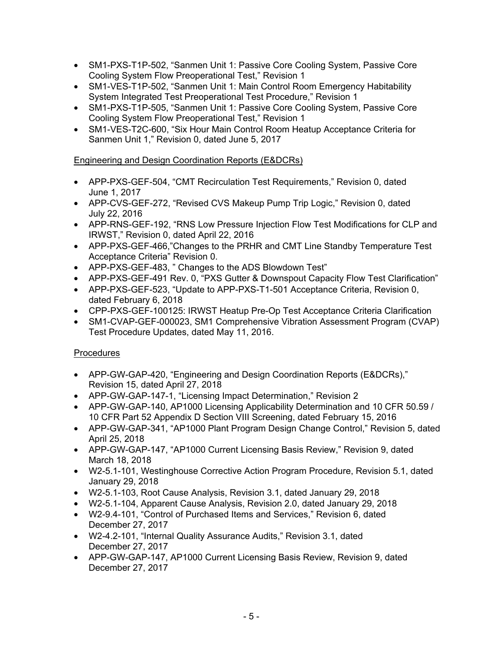- SM1-PXS-T1P-502, "Sanmen Unit 1: Passive Core Cooling System, Passive Core Cooling System Flow Preoperational Test," Revision 1
- SM1-VES-T1P-502, "Sanmen Unit 1: Main Control Room Emergency Habitability System Integrated Test Preoperational Test Procedure," Revision 1
- SM1-PXS-T1P-505, "Sanmen Unit 1: Passive Core Cooling System, Passive Core Cooling System Flow Preoperational Test," Revision 1
- SM1-VES-T2C-600, "Six Hour Main Control Room Heatup Acceptance Criteria for Sanmen Unit 1," Revision 0, dated June 5, 2017

# Engineering and Design Coordination Reports (E&DCRs)

- APP-PXS-GEF-504, "CMT Recirculation Test Requirements," Revision 0, dated June 1, 2017
- APP-CVS-GEF-272, "Revised CVS Makeup Pump Trip Logic," Revision 0, dated July 22, 2016
- APP-RNS-GEF-192, "RNS Low Pressure Injection Flow Test Modifications for CLP and IRWST," Revision 0, dated April 22, 2016
- APP-PXS-GEF-466,"Changes to the PRHR and CMT Line Standby Temperature Test Acceptance Criteria" Revision 0.
- APP-PXS-GEF-483, " Changes to the ADS Blowdown Test"
- APP-PXS-GEF-491 Rev. 0, "PXS Gutter & Downspout Capacity Flow Test Clarification"
- APP-PXS-GEF-523, "Update to APP-PXS-T1-501 Acceptance Criteria, Revision 0, dated February 6, 2018
- CPP-PXS-GEF-100125: IRWST Heatup Pre-Op Test Acceptance Criteria Clarification
- SM1-CVAP-GEF-000023, SM1 Comprehensive Vibration Assessment Program (CVAP) Test Procedure Updates, dated May 11, 2016.

# **Procedures**

- APP-GW-GAP-420, "Engineering and Design Coordination Reports (E&DCRs)," Revision 15, dated April 27, 2018
- APP-GW-GAP-147-1, "Licensing Impact Determination," Revision 2
- APP-GW-GAP-140, AP1000 Licensing Applicability Determination and 10 CFR 50.59 / 10 CFR Part 52 Appendix D Section VIII Screening, dated February 15, 2016
- APP-GW-GAP-341, "AP1000 Plant Program Design Change Control," Revision 5, dated April 25, 2018
- APP-GW-GAP-147, "AP1000 Current Licensing Basis Review," Revision 9, dated March 18, 2018
- W2-5.1-101, Westinghouse Corrective Action Program Procedure, Revision 5.1, dated January 29, 2018
- W2-5.1-103, Root Cause Analysis, Revision 3.1, dated January 29, 2018
- W2-5.1-104, Apparent Cause Analysis, Revision 2.0, dated January 29, 2018
- W2-9.4-101, "Control of Purchased Items and Services," Revision 6, dated December 27, 2017
- W2-4.2-101, "Internal Quality Assurance Audits," Revision 3.1, dated December 27, 2017
- APP-GW-GAP-147, AP1000 Current Licensing Basis Review, Revision 9, dated December 27, 2017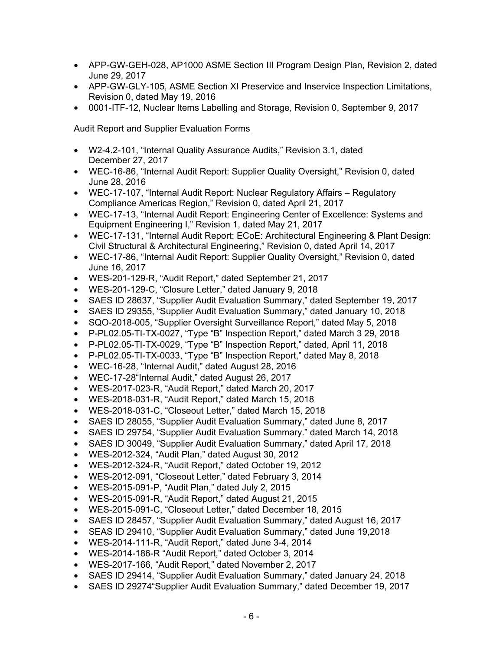- APP-GW-GEH-028, AP1000 ASME Section III Program Design Plan, Revision 2, dated June 29, 2017
- APP-GW-GLY-105, ASME Section XI Preservice and Inservice Inspection Limitations, Revision 0, dated May 19, 2016
- 0001-ITF-12, Nuclear Items Labelling and Storage, Revision 0, September 9, 2017

# Audit Report and Supplier Evaluation Forms

- W2-4.2-101, "Internal Quality Assurance Audits," Revision 3.1, dated December 27, 2017
- WEC-16-86, "Internal Audit Report: Supplier Quality Oversight," Revision 0, dated June 28, 2016
- WEC-17-107, "Internal Audit Report: Nuclear Regulatory Affairs Regulatory Compliance Americas Region," Revision 0, dated April 21, 2017
- WEC-17-13, "Internal Audit Report: Engineering Center of Excellence: Systems and Equipment Engineering I," Revision 1, dated May 21, 2017
- WEC-17-131, "Internal Audit Report: ECoE: Architectural Engineering & Plant Design: Civil Structural & Architectural Engineering," Revision 0, dated April 14, 2017
- WEC-17-86, "Internal Audit Report: Supplier Quality Oversight," Revision 0, dated June 16, 2017
- WES-201-129-R, "Audit Report," dated September 21, 2017
- WES-201-129-C, "Closure Letter," dated January 9, 2018
- SAES ID 28637, "Supplier Audit Evaluation Summary," dated September 19, 2017
- SAES ID 29355, "Supplier Audit Evaluation Summary," dated January 10, 2018
- SQO-2018-005, "Supplier Oversight Surveillance Report," dated May 5, 2018
- P-PL02.05-TI-TX-0027, "Type "B" Inspection Report," dated March 3 29, 2018
- P-PL02.05-TI-TX-0029, "Type "B" Inspection Report," dated, April 11, 2018
- P-PL02.05-TI-TX-0033, "Type "B" Inspection Report," dated May 8, 2018
- WEC-16-28, "Internal Audit," dated August 28, 2016
- WEC-17-28"Internal Audit," dated August 26, 2017
- WES-2017-023-R, "Audit Report," dated March 20, 2017
- WES-2018-031-R, "Audit Report," dated March 15, 2018
- WES-2018-031-C, "Closeout Letter," dated March 15, 2018
- SAES ID 28055, "Supplier Audit Evaluation Summary," dated June 8, 2017
- SAES ID 29754, "Supplier Audit Evaluation Summary." dated March 14, 2018
- SAES ID 30049, "Supplier Audit Evaluation Summary," dated April 17, 2018
- WES-2012-324, "Audit Plan," dated August 30, 2012
- WES-2012-324-R, "Audit Report," dated October 19, 2012
- WES-2012-091, "Closeout Letter," dated February 3, 2014
- WES-2015-091-P, "Audit Plan," dated July 2, 2015
- WES-2015-091-R, "Audit Report," dated August 21, 2015
- WES-2015-091-C, "Closeout Letter," dated December 18, 2015
- SAES ID 28457, "Supplier Audit Evaluation Summary," dated August 16, 2017
- SEAS ID 29410, "Supplier Audit Evaluation Summary," dated June 19,2018
- WES-2014-111-R, "Audit Report," dated June 3-4, 2014
- WES-2014-186-R "Audit Report," dated October 3, 2014
- WES-2017-166, "Audit Report," dated November 2, 2017
- SAES ID 29414, "Supplier Audit Evaluation Summary," dated January 24, 2018
- SAES ID 29274"Supplier Audit Evaluation Summary," dated December 19, 2017